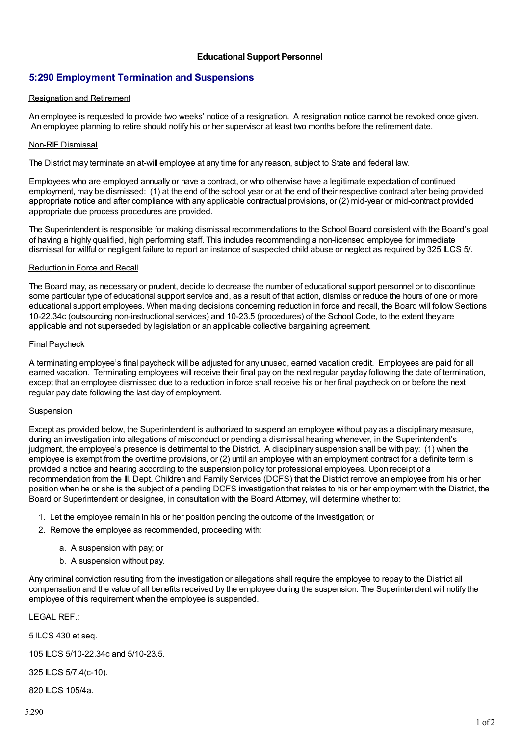## **Educational Support Personnel**

# **5:290 Employment Termination and Suspensions**

## Resignation and Retirement

An employee is requested to provide two weeks' notice of a resignation. A resignation notice cannot be revoked once given. An employee planning to retire should notify his or her supervisor at least two months before the retirement date.

## Non-RIF Dismissal

The District may terminate an at-will employee at any time for any reason, subject to State and federal law.

Employees who are employed annually or have a contract, or who otherwise have a legitimate expectation of continued employment, may be dismissed: (1) at the end of the school year or at the end of their respective contract after being provided appropriate notice and after compliance with any applicable contractual provisions, or (2) mid-year or mid-contract provided appropriate due process procedures are provided.

The Superintendent is responsible for making dismissal recommendations to the School Board consistent with the Board's goal of having a highly qualified, high performing staff. This includes recommending a non-licensed employee for immediate dismissal for willful or negligent failure to report an instance of suspected child abuse or neglect as required by 325 ILCS 5/.

## Reduction in Force and Recall

The Board may, as necessary or prudent, decide to decrease the number of educational support personnel or to discontinue some particular type of educational support service and, as a result of that action, dismiss or reduce the hours of one or more educational support employees. When making decisions concerning reduction in force and recall, the Board will follow Sections 10-22.34c (outsourcing non-instructional services) and 10-23.5 (procedures) of the School Code, to the extent they are applicable and not superseded by legislation or an applicable collective bargaining agreement.

## Final Paycheck

A terminating employee's final paycheck will be adjusted for any unused, earned vacation credit. Employees are paid for all earned vacation. Terminating employees will receive their final pay on the next regular payday following the date of termination, except that an employee dismissed due to a reduction in force shall receive his or her final paycheck on or before the next regular pay date following the last day of employment.

## Suspension

Except as provided below, the Superintendent is authorized to suspend an employee without pay as a disciplinary measure, during an investigation into allegations of misconduct or pending a dismissal hearing whenever, in the Superintendent's judgment, the employee's presence is detrimental to the District. A disciplinary suspension shall be with pay: (1) when the employee is exempt from the overtime provisions, or (2) until an employee with an employment contract for a definite term is provided a notice and hearing according to the suspension policy for professional employees. Upon receipt of a recommendation from the Ill. Dept. Children and Family Services (DCFS) that the District remove an employee from his or her position when he or she is the subject of a pending DCFS investigation that relates to his or her employment with the District, the Board or Superintendent or designee, in consultation with the Board Attorney, will determine whether to:

- 1. Let the employee remain in his or her position pending the outcome of the investigation; or
- 2. Remove the employee as recommended, proceeding with:
	- a. A suspension with pay; or
	- b. A suspension without pay.

Any criminal conviction resulting from the investigation or allegations shall require the employee to repay to the District all compensation and the value of all benefits received by the employee during the suspension. The Superintendent will notify the employee of this requirement when the employee is suspended.

LEGAL REF.:

5 ILCS 430 et seq.

105 ILCS 5/10-22.34c and 5/10-23.5.

325 ILCS 5/7.4(c-10).

820 ILCS 105/4a.